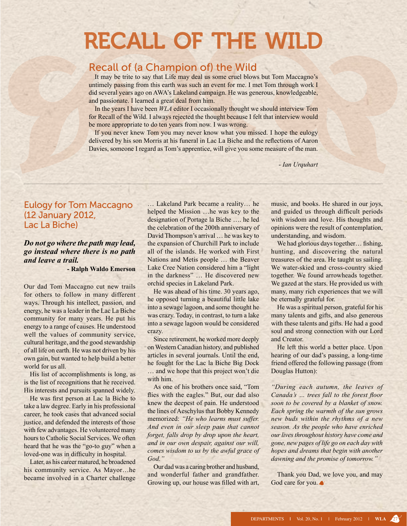# recall of the wild

# Recall of (a Champion of) the Wild

It may be trite to say that Life may deal us some cruel blows but Tom Maccagno's untimely passing from this earth was such an event for me. I met Tom through work I did several years ago on AWA's Lakeland campaign. He was generous, knowledgeable, and passionate. I learned a great deal from him.

In the years I have been *WLA* editor I occasionally thought we should interview Tom for Recall of the Wild. I always rejected the thought because I felt that interview would be more appropriate to do ten years from now. I was wrong.

If you never knew Tom you may never know what you missed. I hope the eulogy delivered by his son Morris at his funeral in Lac La Biche and the reflections of Aaron Davies, someone I regard as Tom's apprentice, will give you some measure of the man.

*- Ian Urquhart*

### Eulogy for Tom Maccagno (12 January 2012, Lac La Biche)

#### *Do not go where the path may lead, go instead where there is no path and leave a trail.*

**- Ralph Waldo Emerson**

Our dad Tom Maccagno cut new trails for others to follow in many different ways. Through his intellect, passion, and energy, he was a leader in the Lac La Biche community for many years. He put his energy to a range of causes. He understood well the values of community service, cultural heritage, and the good stewardship of all life on earth. He was not driven by his own gain, but wanted to help build a better world for us all.

His list of accomplishments is long, as is the list of recognitions that he received. His interests and pursuits spanned widely.

He was first person at Lac la Biche to take a law degree. Early in his professional career, he took cases that advanced social justice, and defended the interests of those with few advantages. He volunteered many hours to Catholic Social Services. We often heard that he was the "go-to guy" when a loved-one was in difficulty in hospital.

Later, as his career matured, he broadened his community service. As Mayor…he became involved in a Charter challenge … Lakeland Park became a reality… he helped the Mission …he was key to the designation of Portage la Biche …. he led the celebration of the 200th anniversary of David Thompson's arrival … he was key to the expansion of Churchill Park to include all of the islands. He worked with First Nations and Metis people … the Beaver Lake Cree Nation considered him a "light in the darkness" … He discovered new orchid species in Lakeland Park.

He was ahead of his time. 30 years ago, he opposed turning a beautiful little lake into a sewage lagoon, and some thought he was crazy. Today, in contrast, to turn a lake into a sewage lagoon would be considered crazy.

Since retirement, he worked more deeply on Western Canadian history, and published articles in several journals. Until the end, he fought for the Lac la Biche Big Dock

… and we hope that this project won't die with him.

As one of his brothers once said, "Tom flies with the eagles." But, our dad also knew the deepest of pain. He understood the lines of Aeschylus that Bobby Kennedy memorized: *"He who learns must suffer. And even in our sleep pain that cannot forget, falls drop by drop upon the heart, and in our own despair, against our will, comes wisdom to us by the awful grace of God."* 

Our dad was a caring brother and husband, and wonderful father and grandfather. Growing up, our house was filled with art, music, and books. He shared in our joys, and guided us through difficult periods with wisdom and love. His thoughts and opinions were the result of contemplation, understanding, and wisdom.

We had glorious days together... fishing, hunting, and discovering the natural treasures of the area. He taught us sailing. We water-skied and cross-country skied together. We found arrowheads together. We gazed at the stars. He provided us with many, many rich experiences that we will be eternally grateful for.

He was a spiritual person, grateful for his many talents and gifts, and also generous with these talents and gifts. He had a good soul and strong connection with our Lord and Creator.

He left this world a better place. Upon hearing of our dad's passing, a long-time friend offered the following passage (from Douglas Hutton):

*"During each autumn, the leaves of Canada's … trees fall to the forest floor soon to be covered by a blanket of snow. Each spring the warmth of the sun grows new buds within the rhythms of a new season. As the people who have enriched our lives throughout history have come and gone, new pages of life go on each day with hopes and dreams that begin with another dawning and the promise of tomorrow."* 

Thank you Dad, we love you, and may God care for you.